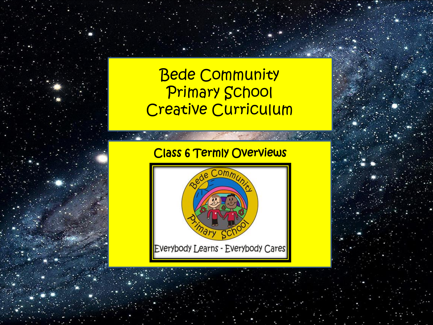# Bede Community Primary School Creative Curriculum

## Class 6 Termly Overviews

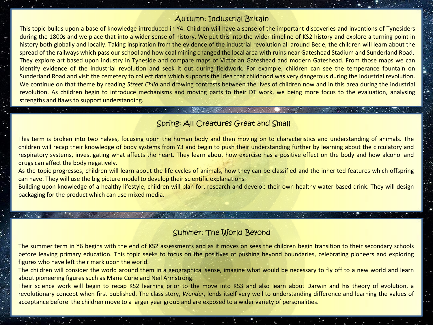#### Autumn: Industrial Britain

This topic builds upon a base of knowledge introduced in Y4. Children will have a sense of the important discoveries and inventions of Tynesiders during the 1800s and we place that into a wider sense of history. We put this into the wider timeline of KS2 history and explore a turning point in history both globally and locally. Taking inspiration from the evidence of the industrial revolution all around Bede, the children will learn about the spread of the railways which pass our school and how coal mining changed the local area with ruins near Gateshead Stadium and Sunderland Road. They explore art based upon industry in Tyneside and compare maps of Victorian Gateshead and modern Gateshead. From those maps we can identify evidence of the industrial revolution and seek it out during fieldwork. For example, children can see the temperance fountain on Sunderland Road and visit the cemetery to collect data which supports the idea that childhood was very dangerous during the industrial revolution. We continue on that theme by reading *Street Child* and drawing contrasts between the lives of children now and in this area during the industrial revolution. As children begin to introduce mechanisms and moving parts to their DT work, we being more focus to the evaluation, analysing strengths and flaws to support understanding.

#### Spring: All Creatures Great and Small

the company's company's company's

This term is broken into two halves, focusing upon the human body and then moving on to characteristics and understanding of animals. The children will recap their knowledge of body systems from Y3 and begin to push their understanding further by learning about the circulatory and respiratory systems, investigating what affects the heart. They learn about how exercise has a positive effect on the body and how alcohol and drugs can affect the body negatively.

As the topic progresses, children will learn about the life cycles of animals, how they can be classified and the inherited features which offspring can have. They will use the big picture model to develop their scientific explanations.

Building upon knowledge of a healthy lifestyle, children will plan for, research and develop their own healthy water-based drink. They will design packaging for the product which can use mixed media.

#### Summer: The World Beyond

The summer term in Y6 begins with the end of KS2 assessments and as it moves on sees the children begin transition to their secondary schools before leaving primary education. This topic seeks to focus on the positives of pushing beyond boundaries, celebrating pioneers and exploring figures who have left their mark upon the world.

The children will consider the world around them in a geographical sense, imagine what would be necessary to fly off to a new world and learn about pioneering figures such as Marie Curie and Neil Armstrong.

Their science work will begin to recap KS2 learning prior to the move into KS3 and also learn about Darwin and his theory of evolution, a revolutionary concept when first published. The class story, *Wonder*, lends itself very well to understanding difference and learning the values of acceptance before the children move to a larger year group and are exposed to a wider variety of personalities.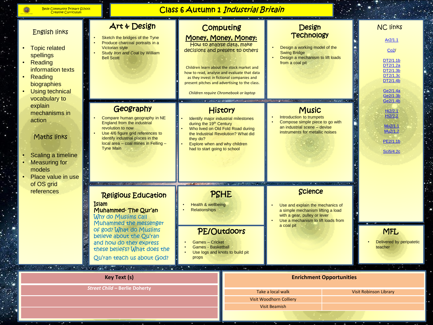6

 $\mathcal{N}_{\mathcal{A}}$ 

### Class 6 Autumn 1 Industrial Britain

| <b>English links</b><br><b>Topic related</b><br>spellings<br>Reading<br>information texts<br>Reading<br>biographies<br><b>Using technical</b><br>vocabulary to<br>explain<br>mechanisms in<br>action<br>Maths links<br>Scaling a timeline<br><b>Measuring for</b><br>models<br>Place value in use<br>of OS grid | Art & Design<br>Sketch the bridges of the Tyne<br>Produce charcoal portraits in a<br><b>Victorian style</b><br>Study Iron and Coal by William<br><b>Bell Scott</b>                                                                          |                                                                                                                                                                      | <b>Design</b><br>Computing<br><b>Technology</b><br>Money, Money, Money:<br>How to analyse data, make<br>Design a working model of the<br>decisions and present to others<br><b>Swing Bridge</b><br>Design a mechanism to lift loads<br>from a coal pit<br>Children learn about the stock market and<br>how to read, analyse and evaluate that data<br>as they invest in fictional companies and<br>present pitches and advertising to the class.<br>Children require Chromebook or laptop<br><b>CONSTRUCTION CONTINUES</b><br><b>SANTA</b> |                                                                                                                                                                             | <b>TAILER IN A STATE</b>        | <b>NC links</b><br>Ar2/1.1<br>Co2/<br>DT2/1.1b<br>DT2/1.2a<br>DT2/1.3b<br>DT2/1.3c<br>DT2/1.4b<br>Ge2/1.4a<br>Ge2/1.3b<br>Ge2/1.4b<br>Hi2/2.1<br>Hi2/2.2<br>Mu2/1.1<br>Mu2/1.2<br>PE2/1.1b<br>Sci5/4.2c |
|-----------------------------------------------------------------------------------------------------------------------------------------------------------------------------------------------------------------------------------------------------------------------------------------------------------------|---------------------------------------------------------------------------------------------------------------------------------------------------------------------------------------------------------------------------------------------|----------------------------------------------------------------------------------------------------------------------------------------------------------------------|--------------------------------------------------------------------------------------------------------------------------------------------------------------------------------------------------------------------------------------------------------------------------------------------------------------------------------------------------------------------------------------------------------------------------------------------------------------------------------------------------------------------------------------------|-----------------------------------------------------------------------------------------------------------------------------------------------------------------------------|---------------------------------|---------------------------------------------------------------------------------------------------------------------------------------------------------------------------------------------------------|
|                                                                                                                                                                                                                                                                                                                 | Geography<br>Compare human geography in NE<br><b>England from the industrial</b><br>revolution to now<br>Use 4/6 figure grid references to<br>identify industrial places in the<br>local area - coal mines in Felling -<br><b>Tyne Main</b> | during the 19th Century<br>they do?<br>Explore when and why children<br>had to start going to school<br><b>SECTION</b>                                               | <b>History</b><br>Identify major industrial milestones<br>Who lived on Old Fold Road during<br>the Industrial Revolution? What did                                                                                                                                                                                                                                                                                                                                                                                                         | <b>Music</b><br>Introduction to trumpets<br>Compose simple piece to go with<br>an industrial scene - devise<br>instruments for metallic noises                              |                                 |                                                                                                                                                                                                         |
| references                                                                                                                                                                                                                                                                                                      | <b>Religious Education</b><br><b>Islam</b><br>Muhammed-The Qur'an<br><b>Why do Muslims Call</b><br>Muhammed the messenger                                                                                                                   | <b>PSHE</b><br>Health & wellbeing<br><b>Relationships</b><br>PE/Outdoors<br>Games - Cricket<br><b>Games - Basketball</b><br>Use logs and knots to build pit<br>props |                                                                                                                                                                                                                                                                                                                                                                                                                                                                                                                                            | <b>Science</b><br>Use and explain the mechanics of<br>a simple mechanism lifting a load<br>with a gear, pulley or lever<br>Use a mechanism to lift loads from<br>a coal pit |                                 |                                                                                                                                                                                                         |
|                                                                                                                                                                                                                                                                                                                 | of god? What do Muslims<br>believe about the Ou'ran<br>and how do they express<br>these beliefs? What does the<br>Qu'ran teach us about God?                                                                                                |                                                                                                                                                                      |                                                                                                                                                                                                                                                                                                                                                                                                                                                                                                                                            |                                                                                                                                                                             |                                 | <b>MFL</b><br>Delivered by peripatetic<br>teacher                                                                                                                                                       |
| <b>. .</b> .                                                                                                                                                                                                                                                                                                    | <b>CONTRACTOR</b><br>್ ಟ್ರೌಕ್<br><b>Key Text (s)</b>                                                                                                                                                                                        |                                                                                                                                                                      |                                                                                                                                                                                                                                                                                                                                                                                                                                                                                                                                            |                                                                                                                                                                             | <b>Enrichment Opportunities</b> |                                                                                                                                                                                                         |
| <b>Street Child - Berlie Doherty</b>                                                                                                                                                                                                                                                                            |                                                                                                                                                                                                                                             | Take a local walk<br><b>Visit Robinson Library</b>                                                                                                                   |                                                                                                                                                                                                                                                                                                                                                                                                                                                                                                                                            |                                                                                                                                                                             |                                 |                                                                                                                                                                                                         |
|                                                                                                                                                                                                                                                                                                                 |                                                                                                                                                                                                                                             |                                                                                                                                                                      | Visit Woodhorn Colliery<br><b>Visit Beamish</b>                                                                                                                                                                                                                                                                                                                                                                                                                                                                                            |                                                                                                                                                                             |                                 |                                                                                                                                                                                                         |
|                                                                                                                                                                                                                                                                                                                 |                                                                                                                                                                                                                                             |                                                                                                                                                                      |                                                                                                                                                                                                                                                                                                                                                                                                                                                                                                                                            |                                                                                                                                                                             |                                 |                                                                                                                                                                                                         |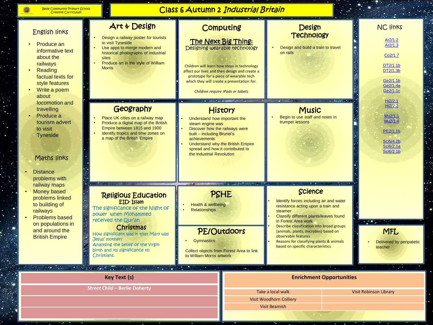### Class 6 Autumn 2 Industrial Britain

| <b>English links</b><br>Produce an<br>informative text<br>about the<br>railways<br>Reading<br>factual texts for<br>style features<br>Write a poem<br>about<br>locomotion and<br>travelling<br>Produce a<br>tourism advert<br>to visit<br><b>Tyneside</b><br>Maths links<br><b>Distance</b><br>problems with<br>railway maps<br>Money based<br>problems linked<br>to building of<br>railways<br><b>Problems based</b><br>on populations in<br>and around the<br><b>British Empire</b> | Art & Design<br>Design a railway poster for tourists<br>to visit Tyneside<br>Use apps to merge modern and<br>historical photographs of industrial<br>sites<br>Produce art in the style of William<br><b>Morris</b>                                                                     | Computing<br>The Next Big Thing:<br>Designing wearable technology<br>Children will learn how steps in technology<br>affect our lives and then design and create a<br>prototype for a piece of wearable tech<br>which they will create a presentation for.<br>Children require iPads or tabets<br><b>AT INVESTIGATION</b> |                                                                   | Design<br><b>Technology</b><br>Design and build a train to travel<br>on rails<br><b>CONTRACTOR</b>                                                                                                                                                                                                                                                                       |                                 | <b>NC links</b><br>Ar2/1.2<br>Ar2/1.3<br>Co2/1.7<br>DT2/1.1b<br>DT2/1.3b<br>Ge2/1.1b<br>Ge2/1.4a<br>Ge2/1.1c |
|--------------------------------------------------------------------------------------------------------------------------------------------------------------------------------------------------------------------------------------------------------------------------------------------------------------------------------------------------------------------------------------------------------------------------------------------------------------------------------------|----------------------------------------------------------------------------------------------------------------------------------------------------------------------------------------------------------------------------------------------------------------------------------------|--------------------------------------------------------------------------------------------------------------------------------------------------------------------------------------------------------------------------------------------------------------------------------------------------------------------------|-------------------------------------------------------------------|--------------------------------------------------------------------------------------------------------------------------------------------------------------------------------------------------------------------------------------------------------------------------------------------------------------------------------------------------------------------------|---------------------------------|--------------------------------------------------------------------------------------------------------------|
|                                                                                                                                                                                                                                                                                                                                                                                                                                                                                      | Geography<br>Place UK cities on a railway map<br>Produce a digital map of the British<br>Empire between 1815 and 1900<br>Identify tropics and time zones on<br>a map of the British Empire                                                                                             | Understand how important the<br>steam engine was<br>Discover how the railways were<br>built - including Brunel's<br>achievements<br>spread and how it contributed to<br>the Industrial Revolution                                                                                                                        | <b>History</b><br>Understand why the British Empire               | <b>Music</b><br>Begin to use staff and notes in<br>trumpet lessons                                                                                                                                                                                                                                                                                                       |                                 | Hi2/2.1<br>Hi2/2.2<br>Mu2/1.1<br>Mu2/1.4<br>PE2/1.1b<br>Sci5/4.2b<br>Sci6/2.1a<br>Sci6/2.1b                  |
|                                                                                                                                                                                                                                                                                                                                                                                                                                                                                      | <b>Religious Education</b><br>EID-Islam<br>The significance of the Night of<br>power when Mohammed<br>received the Qur'an<br>Christmas<br>How significant was it that Mary was<br>Jesus' mother?<br>Analysing the belief of the Virgin<br>birth and its significance to<br>Christians. | <b>START</b><br>PSHE<br>Health & wellbeing<br><b>Relationships</b><br>Gymnastics<br>to William Morris artwork                                                                                                                                                                                                            | $\sim$<br>PE/Outdoors<br>Collect objects from Forest Area to link | <b>Science</b><br>Identify forces including air and water<br>resistance acting upon a train and<br>steamer<br>Classify different plants/leaves found<br>in Forest Area work<br>Describe classification into broad groups<br>(animals, plants, microbes) based on<br>observable features<br>Reasons for classifying plants & animals<br>based on specific characteristics |                                 | <b>PARTIES</b><br><b>MFL</b><br>Delivered by peripatetic<br>teacher                                          |
| ್ಲಿ.                                                                                                                                                                                                                                                                                                                                                                                                                                                                                 | <b>CONTRACTOR</b> CONTRACTOR<br><u> Anglice Provinc</u><br><b>Key Text (s)</b>                                                                                                                                                                                                         |                                                                                                                                                                                                                                                                                                                          |                                                                   |                                                                                                                                                                                                                                                                                                                                                                          | <b>Enrichment Opportunities</b> |                                                                                                              |
|                                                                                                                                                                                                                                                                                                                                                                                                                                                                                      | <b>Street Child - Berlie Doherty</b>                                                                                                                                                                                                                                                   |                                                                                                                                                                                                                                                                                                                          |                                                                   | Take a local walk<br>Visit Woodhorn Colliery<br><b>Visit Beamish</b>                                                                                                                                                                                                                                                                                                     |                                 | <b>Visit Robinson Library</b>                                                                                |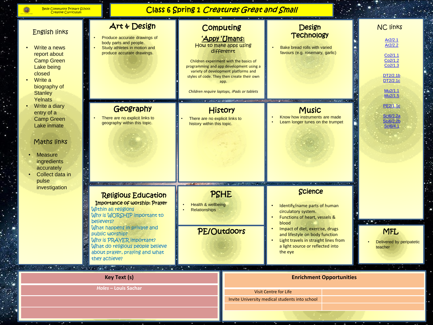6

 $\ddot{\cdot}$ 

Ŷ.

#### Class 6 Spring 1 Creatures Great and Small

| <b>English links</b><br>Write a news<br>report about<br><b>Camp Green</b><br>Lake being<br>closed<br>Write a<br>biography of<br><b>Stanley</b><br>Yelnats<br>Write a diary<br>entry of a<br><b>Camp Green</b><br>Lake inmate<br>Maths links<br><b>Measure</b><br>ingredients<br>accurately<br>Collect data in<br>pulse<br>investigation | Art & Design<br>Produce accurate drawings of<br>body parts and people.<br>Study athletes in motion and<br>produce accurate drawings.                                                                                                                                                                  | Computing<br>'Appy 'Umans:<br>How to make apps using<br>differenrt<br>Children experiment with the basics of<br>programming and app development using a<br>variety of development platforms and<br>styles of code. They then create their own<br>app.<br>Children require laptops, iPads or tablets<br><b>AT UNIVERSITY OF</b><br><b>History</b><br>There are no explicit links to<br>history within this topic. |  | <b>Design</b><br><b>Technology</b><br>Bake bread rolls with varied<br>favours (e.g. rosemary, garlic)<br><b><i>ALAMARANA</i></b><br><b>Music</b><br>Know how instruments are made<br>Learn longer tunes on the trumpet                                                      |                                 | <b>NC links</b><br>Ar2/2.1<br>Ar2/2.2<br>Co <sub>2</sub> /1.1<br>Co2/1.2<br>Co <sub>2</sub> /1.3<br>DT2/2.1b<br>DT2/2.1c<br>Mu2/1.1<br>Mu2/1.5<br>PE2/1.1c<br><b>Sci6/2.2a</b><br><b>Sci6/2.2b</b><br>Sci6/4.1 |
|-----------------------------------------------------------------------------------------------------------------------------------------------------------------------------------------------------------------------------------------------------------------------------------------------------------------------------------------|-------------------------------------------------------------------------------------------------------------------------------------------------------------------------------------------------------------------------------------------------------------------------------------------------------|------------------------------------------------------------------------------------------------------------------------------------------------------------------------------------------------------------------------------------------------------------------------------------------------------------------------------------------------------------------------------------------------------------------|--|-----------------------------------------------------------------------------------------------------------------------------------------------------------------------------------------------------------------------------------------------------------------------------|---------------------------------|----------------------------------------------------------------------------------------------------------------------------------------------------------------------------------------------------------------|
|                                                                                                                                                                                                                                                                                                                                         | Geography<br>There are no explicit links to<br>geography within this topic.                                                                                                                                                                                                                           |                                                                                                                                                                                                                                                                                                                                                                                                                  |  |                                                                                                                                                                                                                                                                             |                                 |                                                                                                                                                                                                                |
|                                                                                                                                                                                                                                                                                                                                         | <b>Religious Education</b><br>Importance of worship: Prayer<br>Within all religions<br>Why is WORSHIP important to<br>believers?<br>What happens in private and<br>public worship?<br>Why is PRAYER important?<br>What do religious people believe<br>about prayer, praying and what<br>they achieve? | PSHE<br>Health & wellbeing<br><b>Relationships</b><br>PE/Outdoors                                                                                                                                                                                                                                                                                                                                                |  | <b>Science</b><br>Identify/name parts of human<br>circulatory system.<br>Functions of heart, vessels &<br>blood<br>Impact of diet, exercise, drugs<br>and lifestyle on body function<br>Light travels in straight lines from<br>a light source or reflected into<br>the eye |                                 | <b>TO</b><br><b>MFL</b><br>Delivered by peripatetic<br>teacher                                                                                                                                                 |
|                                                                                                                                                                                                                                                                                                                                         | the state and the state of the<br>$\mathcal{L} = \{ \mathcal{L} \}$<br><b>Key Text (s)</b>                                                                                                                                                                                                            |                                                                                                                                                                                                                                                                                                                                                                                                                  |  |                                                                                                                                                                                                                                                                             | <b>Enrichment Opportunities</b> |                                                                                                                                                                                                                |
|                                                                                                                                                                                                                                                                                                                                         | Holes - Louis Sachar                                                                                                                                                                                                                                                                                  |                                                                                                                                                                                                                                                                                                                                                                                                                  |  | <b>Visit Centre for Life</b><br>Invite University medical students into school                                                                                                                                                                                              |                                 |                                                                                                                                                                                                                |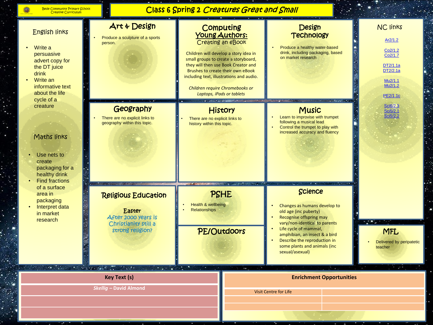| <b>Bede Community Primary School</b> |  |  |  |  |
|--------------------------------------|--|--|--|--|
| <b>Creative Curriculum</b>           |  |  |  |  |

### Class 6 Spring 2 Creatures Great and Small

| <b>English links</b><br>Write a<br>persuasive<br>advert copy for<br>the DT juice<br>drink<br>Write an<br>informative text<br>about the life<br>cycle of a                                        | Art & Design<br>Produce a sculpture of a sports<br>person.                                              |                                                              | Computing<br>Young Authors:<br>Creating an eBook<br>Children will develop a story idea in<br>small groups to create a storyboard,<br>they will then use Book Creator and<br>Brushes to create their own eBook<br>including text, illustrations and audio.<br>Children require Chromebooks or<br>Laptops, iPads or tablets<br><b>AT ISSUED FOR THE PASSAGE</b> | Design<br><b>Technology</b><br>Produce a healthy water-based<br>drink, including packaging, based<br>on market research<br><b>ALCOHOL:</b>                                                                                                                                 |  | <b>NC links</b><br>Ar2/1.2<br>Co2/1.2<br>Co <sub>2/1.7</sub><br>DT2/1.1a<br>DT2/2.1a<br>Mu2/1.1<br>Mu2/1.2<br>PE2/1.1c<br>Sci6/2.3<br>Sci5/2.1<br>Sci5/2.2 |
|--------------------------------------------------------------------------------------------------------------------------------------------------------------------------------------------------|---------------------------------------------------------------------------------------------------------|--------------------------------------------------------------|---------------------------------------------------------------------------------------------------------------------------------------------------------------------------------------------------------------------------------------------------------------------------------------------------------------------------------------------------------------|----------------------------------------------------------------------------------------------------------------------------------------------------------------------------------------------------------------------------------------------------------------------------|--|------------------------------------------------------------------------------------------------------------------------------------------------------------|
| creature<br>Maths links<br>Use nets to<br>create<br>packaging for a<br>healthy drink<br><b>Find fractions</b><br>of a surface<br>area in<br>packaging<br>Interpret data<br>in market<br>research | Geography<br>There are no explicit links to<br>geography within this topic.                             | There are no explicit links to<br>history within this topic. | <b>Music</b><br>History<br>Learn to improvise with trumpet<br>following a musical lead<br>Control the trumpet to play with<br>increased accuracy and fluency                                                                                                                                                                                                  |                                                                                                                                                                                                                                                                            |  |                                                                                                                                                            |
|                                                                                                                                                                                                  | <b>Religious Education</b><br>Easter<br>After 2000 years is<br>Christianity still a<br>strong religion? | 3845<br>Health & wellbeing<br><b>Relationships</b>           | <b>STORY AND</b><br>PSHE<br>PE/Outdoors                                                                                                                                                                                                                                                                                                                       | Science<br>Changes as humans develop to<br>old age (inc puberty)<br>Recognise offspring may<br>vary/non-identical to parents<br>Life cycle of mammal,<br>amphibian, an insect & a bird<br>Describe the reproduction in<br>some plants and animals (inc.<br>sexual/asexual) |  | <b>MFL</b><br>Delivered by peripatetic<br>teacher                                                                                                          |
| the state and the control of the<br>2.7191<br><b>Key Text (s)</b><br><b>Skellig - David Almond</b>                                                                                               |                                                                                                         |                                                              | <b>Enrichment Opportunities</b>                                                                                                                                                                                                                                                                                                                               |                                                                                                                                                                                                                                                                            |  |                                                                                                                                                            |
|                                                                                                                                                                                                  |                                                                                                         |                                                              |                                                                                                                                                                                                                                                                                                                                                               | <b>Visit Centre for Life</b>                                                                                                                                                                                                                                               |  |                                                                                                                                                            |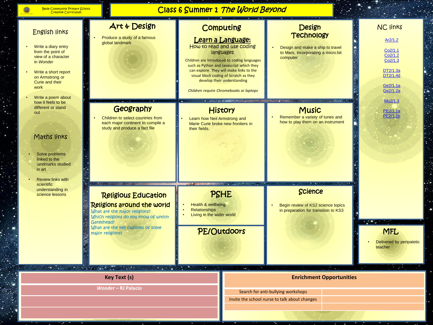è.

 $\sim$ 

#### Class 6 Summer 1 The World Beyond

 $\mathcal{F}=\{ \mathcal{F}_1 \}$ 

| English links<br>Write a diary entry<br>from the point of<br>view of a character<br>in Wonder<br>Write a short report<br>on Armstrong or<br>Curie and their<br>work<br>Write a poem about<br>how it feels to be | Art & Design<br>Produce a study of a famous<br>global landmark                                                                                                                                           | Computing<br>Learn a Language:<br>How to read and use coding<br>languages<br>Children are introduced to coding languages<br>such as Python and Javascript which they<br>can explore. They will make links to the<br>visual block coding of Scratch as they<br>develop their understanding<br>Children require Chromebooks or laptops<br><b>AT LOOKING A MARKET CONTRACT</b><br><b>History</b><br>Learn how Neil Armstrong and<br>Marie Curie broke new frontiers in<br>their fields. |                               | <b>Design</b><br><b>Technology</b><br>Design and make a ship to travel<br>to Mars, incorporating a micro:bit<br>computer<br><b>TALLA MESSES</b><br><b>WHICH PRODUCTS A PITT A STARTING</b> | <b>NC links</b><br>Ar2/1.2<br>Co2/1.1<br>Co2/1.2<br>Co2/1.3<br>DT2/1.3a<br>DT2/1.4d<br>Ge2/1.1a<br>Ge2/1.2a<br>Mu2/1.3 |  |
|-----------------------------------------------------------------------------------------------------------------------------------------------------------------------------------------------------------------|----------------------------------------------------------------------------------------------------------------------------------------------------------------------------------------------------------|--------------------------------------------------------------------------------------------------------------------------------------------------------------------------------------------------------------------------------------------------------------------------------------------------------------------------------------------------------------------------------------------------------------------------------------------------------------------------------------|-------------------------------|--------------------------------------------------------------------------------------------------------------------------------------------------------------------------------------------|------------------------------------------------------------------------------------------------------------------------|--|
| different or stand<br>out<br>Maths links<br>Solve problems<br>linked to the<br>landmarks studied<br>in art<br><b>Review links with</b>                                                                          | Geography<br>Children to select countries from<br>each major continent to compile a<br>study and produce a fact file                                                                                     |                                                                                                                                                                                                                                                                                                                                                                                                                                                                                      |                               | <b>Music</b><br>Remember a variety of tunes and<br>how to play them on an instrument                                                                                                       | PE2/1.1a<br>PE2/1.1b                                                                                                   |  |
| scientific<br>understanding in<br>science lessons                                                                                                                                                               | <b>Religious Education</b><br>Religions around the world<br>What are the major religions?<br>Which religions do you know of within<br>Gateshead?<br>What are the key customs of some<br>major religions? | <b>SALES</b><br><b>Health &amp; wellbeing</b><br><b>Relationships</b><br>Living in the wider world                                                                                                                                                                                                                                                                                                                                                                                   | $\sim$<br>PSHE<br>PE/Outdoors | <b>Science</b><br>Begin review of KS2 science topics<br>in preparation for transition to KS3                                                                                               | <b>MFL</b><br>Delivered by peripatetic<br>teacher                                                                      |  |
| ⊷ 75.                                                                                                                                                                                                           | <b>CONTRACTOR</b><br>$\mathcal{L} = \mathcal{L}$<br><b>Key Text (s)</b>                                                                                                                                  |                                                                                                                                                                                                                                                                                                                                                                                                                                                                                      |                               | <b>Enrichment Opportunities</b>                                                                                                                                                            | $\sim$                                                                                                                 |  |
|                                                                                                                                                                                                                 | <b>Wonder-RJ Palacio</b><br>Search for anti-bullying workshops                                                                                                                                           |                                                                                                                                                                                                                                                                                                                                                                                                                                                                                      |                               |                                                                                                                                                                                            |                                                                                                                        |  |

Invite the school nurse to talk about changes